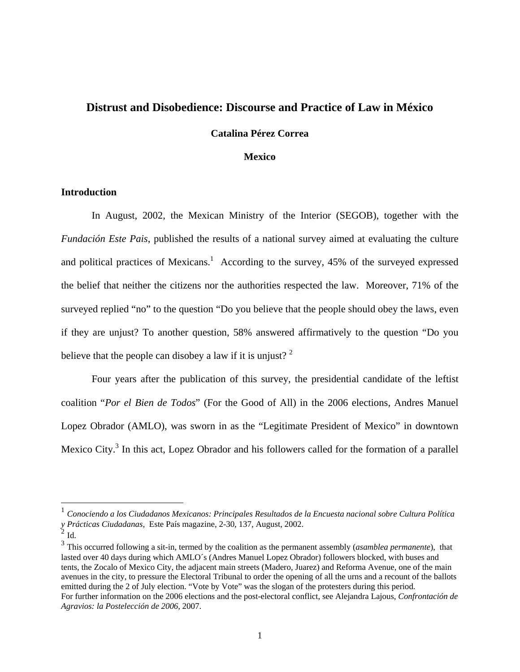# **Distrust and Disobedience: Discourse and Practice of Law in México**

## **Catalina Pérez Correa**

#### **Mexico**

## **Introduction**

In August, 2002, the Mexican Ministry of the Interior (SEGOB), together with the *Fundación Este Pais*, published the results of a national survey aimed at evaluating the culture and political practices of Mexicans.<sup>1</sup> According to the survey,  $45\%$  of the surveyed expressed the belief that neither the citizens nor the authorities respected the law. Moreover, 71% of the surveyed replied "no" to the question "Do you believe that the people should obey the laws, even if they are unjust? To another question, 58% answered affirmatively to the question "Do you believe that the people can disobey a law if it is unjust?  $2^2$ 

Four years after the publication of this survey, the presidential candidate of the leftist coalition "*Por el Bien de Todos*" (For the Good of All) in the 2006 elections, Andres Manuel Lopez Obrador (AMLO), was sworn in as the "Legitimate President of Mexico" in downtown Mexico City.<sup>3</sup> In this act, Lopez Obrador and his followers called for the formation of a parallel

<u>.</u>

<sup>1</sup> *Conociendo a los Ciudadanos Mexicanos: Principales Resultados de la Encuesta nacional sobre Cultura Política y Prácticas Ciudadanas*, Este País magazine, 2-30, 137, August, 2002.

 $^{2}$  Id.

<sup>3</sup> This occurred following a sit-in, termed by the coalition as the permanent assembly (*asamblea permanente*), that lasted over 40 days during which AMLO´s (Andres Manuel Lopez Obrador) followers blocked, with buses and tents, the Zocalo of Mexico City, the adjacent main streets (Madero, Juarez) and Reforma Avenue, one of the main avenues in the city, to pressure the Electoral Tribunal to order the opening of all the urns and a recount of the ballots emitted during the 2 of July election. "Vote by Vote" was the slogan of the protesters during this period. For further information on the 2006 elections and the post-electoral conflict, see Alejandra Lajous, *Confrontación de Agravios: la Postelección de 2006,* 2007.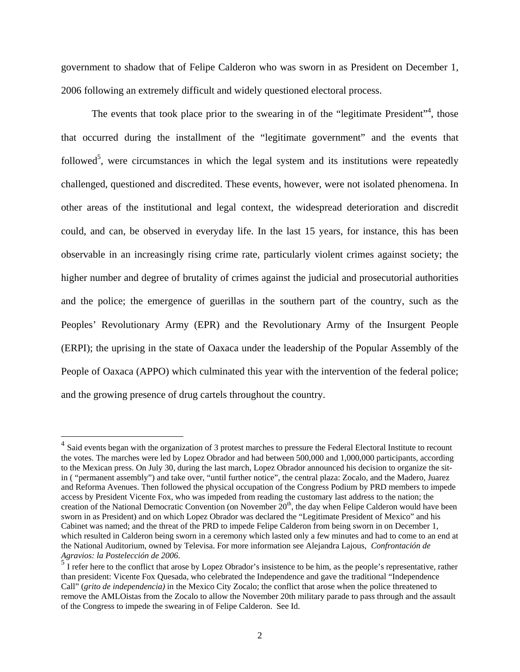government to shadow that of Felipe Calderon who was sworn in as President on December 1, 2006 following an extremely difficult and widely questioned electoral process.

The events that took place prior to the swearing in of the "legitimate President", those that occurred during the installment of the "legitimate government" and the events that followed<sup>5</sup>, were circumstances in which the legal system and its institutions were repeatedly challenged, questioned and discredited. These events, however, were not isolated phenomena. In other areas of the institutional and legal context, the widespread deterioration and discredit could, and can, be observed in everyday life. In the last 15 years, for instance, this has been observable in an increasingly rising crime rate, particularly violent crimes against society; the higher number and degree of brutality of crimes against the judicial and prosecutorial authorities and the police; the emergence of guerillas in the southern part of the country, such as the Peoples' Revolutionary Army (EPR) and the Revolutionary Army of the Insurgent People (ERPI); the uprising in the state of Oaxaca under the leadership of the Popular Assembly of the People of Oaxaca (APPO) which culminated this year with the intervention of the federal police; and the growing presence of drug cartels throughout the country.

 $4$  Said events began with the organization of 3 protest marches to pressure the Federal Electoral Institute to recount the votes. The marches were led by Lopez Obrador and had between 500,000 and 1,000,000 participants, according to the Mexican press. On July 30, during the last march, Lopez Obrador announced his decision to organize the sitin ( "permanent assembly") and take over, "until further notice", the central plaza: Zocalo, and the Madero, Juarez and Reforma Avenues. Then followed the physical occupation of the Congress Podium by PRD members to impede access by President Vicente Fox, who was impeded from reading the customary last address to the nation; the creation of the National Democratic Convention (on November 20<sup>th</sup>, the day when Felipe Calderon would have been sworn in as President) and on which Lopez Obrador was declared the "Legitimate President of Mexico" and his Cabinet was named; and the threat of the PRD to impede Felipe Calderon from being sworn in on December 1, which resulted in Calderon being sworn in a ceremony which lasted only a few minutes and had to come to an end at the National Auditorium, owned by Televisa. For more information see Alejandra Lajous, *Confrontación de Agravios: la Postelección de 2006*.<br><sup>5</sup> I refer here to the conflict that arose by Lopez Obrador's insistence to be him, as the people's representative, rather

than president: Vicente Fox Quesada, who celebrated the Independence and gave the traditional "Independence Call" (*grito de independencia)* in the Mexico City Zocalo; the conflict that arose when the police threatened to remove the AMLOistas from the Zocalo to allow the November 20th military parade to pass through and the assault of the Congress to impede the swearing in of Felipe Calderon. See Id.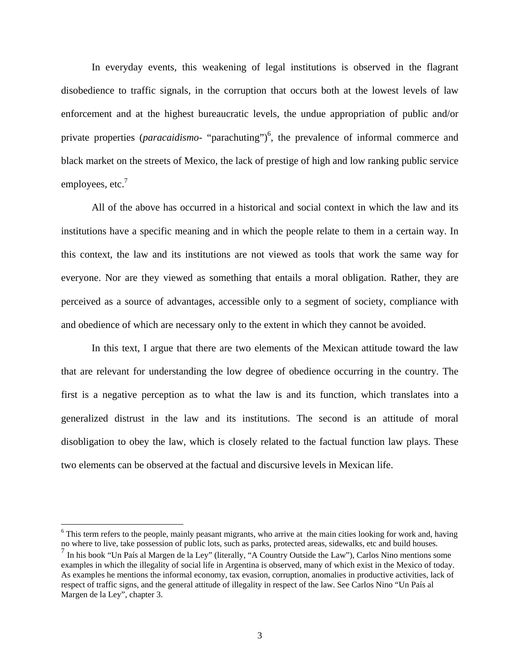In everyday events, this weakening of legal institutions is observed in the flagrant disobedience to traffic signals, in the corruption that occurs both at the lowest levels of law enforcement and at the highest bureaucratic levels, the undue appropriation of public and/or private properties (*paracaidismo*- "parachuting")<sup>6</sup>, the prevalence of informal commerce and black market on the streets of Mexico, the lack of prestige of high and low ranking public service employees, etc.<sup>7</sup>

All of the above has occurred in a historical and social context in which the law and its institutions have a specific meaning and in which the people relate to them in a certain way. In this context, the law and its institutions are not viewed as tools that work the same way for everyone. Nor are they viewed as something that entails a moral obligation. Rather, they are perceived as a source of advantages, accessible only to a segment of society, compliance with and obedience of which are necessary only to the extent in which they cannot be avoided.

In this text, I argue that there are two elements of the Mexican attitude toward the law that are relevant for understanding the low degree of obedience occurring in the country. The first is a negative perception as to what the law is and its function, which translates into a generalized distrust in the law and its institutions. The second is an attitude of moral disobligation to obey the law, which is closely related to the factual function law plays. These two elements can be observed at the factual and discursive levels in Mexican life.

<sup>&</sup>lt;sup>6</sup> This term refers to the people, mainly peasant migrants, who arrive at the main cities looking for work and, having no where to live, take possession of public lots, such as parks, protected areas, sidewalks, etc and build houses.

<sup>7</sup> In his book "Un País al Margen de la Ley" (literally, "A Country Outside the Law"), Carlos Nino mentions some examples in which the illegality of social life in Argentina is observed, many of which exist in the Mexico of today. As examples he mentions the informal economy, tax evasion, corruption, anomalies in productive activities, lack of respect of traffic signs, and the general attitude of illegality in respect of the law. See Carlos Nino "Un País al Margen de la Ley", chapter 3.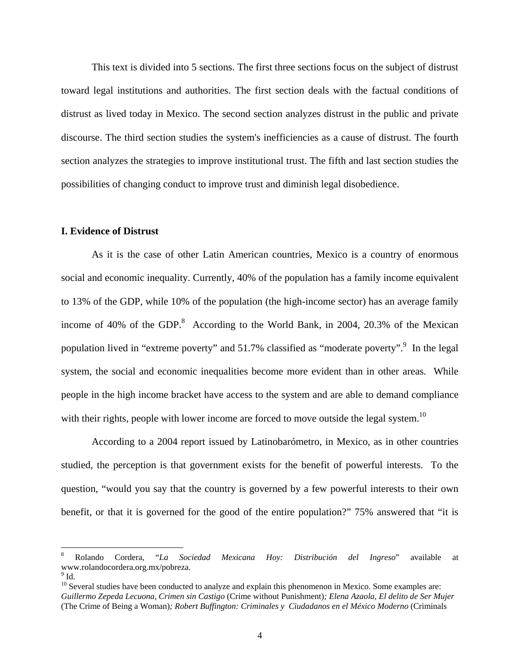This text is divided into 5 sections. The first three sections focus on the subject of distrust toward legal institutions and authorities. The first section deals with the factual conditions of distrust as lived today in Mexico. The second section analyzes distrust in the public and private discourse. The third section studies the system's inefficiencies as a cause of distrust. The fourth section analyzes the strategies to improve institutional trust. The fifth and last section studies the possibilities of changing conduct to improve trust and diminish legal disobedience.

## **I. Evidence of Distrust**

As it is the case of other Latin American countries, Mexico is a country of enormous social and economic inequality. Currently, 40% of the population has a family income equivalent to 13% of the GDP, while 10% of the population (the high-income sector) has an average family income of 40% of the GDP. $^8$  According to the World Bank, in 2004, 20.3% of the Mexican population lived in "extreme poverty" and 51.7% classified as "moderate poverty". In the legal system, the social and economic inequalities become more evident than in other areas. While people in the high income bracket have access to the system and are able to demand compliance with their rights, people with lower income are forced to move outside the legal system.<sup>10</sup>

According to a 2004 report issued by Latinobarómetro, in Mexico, as in other countries studied, the perception is that government exists for the benefit of powerful interests. To the question, "would you say that the country is governed by a few powerful interests to their own benefit, or that it is governed for the good of the entire population?" 75% answered that "it is

<sup>8</sup> Rolando Cordera, "*La Sociedad Mexicana Hoy: Distribución del Ingreso*" available at www.rolandocordera.org.mx/pobreza. 9

 $^9$  Id.

 $10$  Several studies have been conducted to analyze and explain this phenomenon in Mexico. Some examples are: *Guillermo Zepeda Lecuona, Crimen sin Castigo* (Crime without Punishment)*; Elena Azaola, El delito de Ser Mujer*  (The Crime of Being a Woman)*; Robert Buffington: Criminales y Ciudadanos en el México Moderno* (Criminals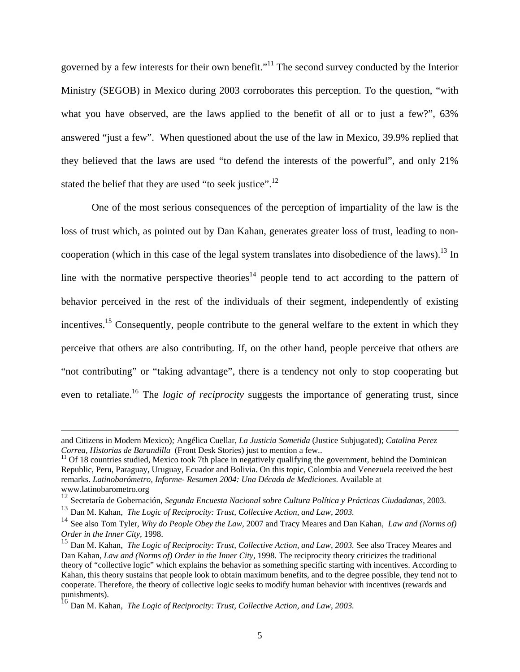governed by a few interests for their own benefit."11 The second survey conducted by the Interior Ministry (SEGOB) in Mexico during 2003 corroborates this perception. To the question, "with what you have observed, are the laws applied to the benefit of all or to just a few?", 63% answered "just a few". When questioned about the use of the law in Mexico, 39.9% replied that they believed that the laws are used "to defend the interests of the powerful", and only 21% stated the belief that they are used "to seek justice".<sup>12</sup>

One of the most serious consequences of the perception of impartiality of the law is the loss of trust which, as pointed out by Dan Kahan, generates greater loss of trust, leading to noncooperation (which in this case of the legal system translates into disobedience of the laws).<sup>13</sup> In line with the normative perspective theories<sup>14</sup> people tend to act according to the pattern of behavior perceived in the rest of the individuals of their segment, independently of existing incentives.<sup>15</sup> Consequently, people contribute to the general welfare to the extent in which they perceive that others are also contributing. If, on the other hand, people perceive that others are "not contributing" or "taking advantage", there is a tendency not only to stop cooperating but even to retaliate.<sup>16</sup> The *logic of reciprocity* suggests the importance of generating trust, since

and Citizens in Modern Mexico)*;* Angélica Cuellar, *La Justicia Sometida* (Justice Subjugated); *Catalina Perez* 

<sup>&</sup>lt;sup>11</sup> Of 18 countries studied, Mexico took 7th place in negatively qualifying the government, behind the Dominican Republic, Peru, Paraguay, Uruguay, Ecuador and Bolivia. On this topic, Colombia and Venezuela received the best remarks. *Latinobarómetro, Informe- Resumen 2004: Una Década de Mediciones*. Available at www.latinobarometro.org

<sup>12</sup> Secretaría de Gobernación, *Segunda Encuesta Nacional sobre Cultura Política y Prácticas Ciudadanas,* 2003.

<sup>13</sup> Dan M. Kahan, *The Logic of Reciprocity: Trust, Collective Action, and Law, 2003.*

<sup>14</sup> See also Tom Tyler, *Why do People Obey the Law*, 2007 and Tracy Meares and Dan Kahan, *Law and (Norms of) Order in the Inner City,* 1998.

<sup>&</sup>lt;sup>15</sup> Dan M. Kahan, *The Logic of Reciprocity: Trust, Collective Action, and Law, 2003.* See also Tracey Meares and Dan Kahan, *Law and (Norms of) Order in the Inner City,* 1998. The reciprocity theory criticizes the traditional theory of "collective logic" which explains the behavior as something specific starting with incentives. According to Kahan, this theory sustains that people look to obtain maximum benefits, and to the degree possible, they tend not to cooperate. Therefore, the theory of collective logic seeks to modify human behavior with incentives (rewards and punishments).

<sup>16</sup> Dan M. Kahan, *The Logic of Reciprocity: Trust, Collective Action, and Law, 2003.*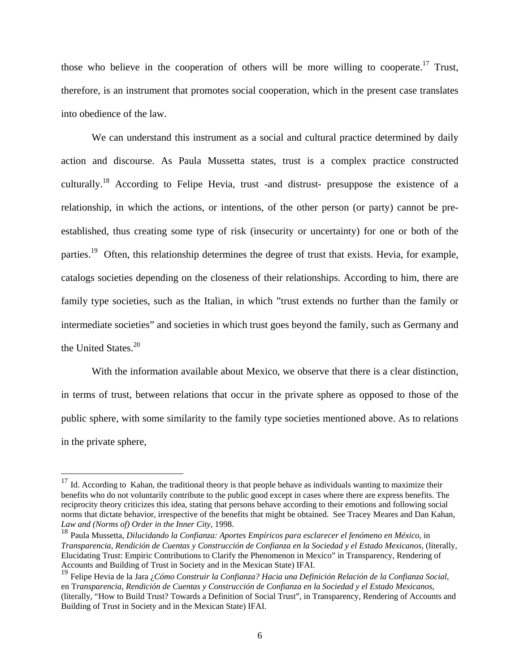those who believe in the cooperation of others will be more willing to cooperate.<sup>17</sup> Trust, therefore, is an instrument that promotes social cooperation, which in the present case translates into obedience of the law.

We can understand this instrument as a social and cultural practice determined by daily action and discourse. As Paula Mussetta states, trust is a complex practice constructed culturally.18 According to Felipe Hevia, trust -and distrust- presuppose the existence of a relationship, in which the actions, or intentions, of the other person (or party) cannot be preestablished, thus creating some type of risk (insecurity or uncertainty) for one or both of the parties.<sup>19</sup> Often, this relationship determines the degree of trust that exists. Hevia, for example, catalogs societies depending on the closeness of their relationships. According to him, there are family type societies, such as the Italian, in which "trust extends no further than the family or intermediate societies" and societies in which trust goes beyond the family, such as Germany and the United States.<sup>20</sup>

With the information available about Mexico, we observe that there is a clear distinction, in terms of trust, between relations that occur in the private sphere as opposed to those of the public sphere, with some similarity to the family type societies mentioned above. As to relations in the private sphere,

 $17$  Id. According to Kahan, the traditional theory is that people behave as individuals wanting to maximize their benefits who do not voluntarily contribute to the public good except in cases where there are express benefits. The reciprocity theory criticizes this idea, stating that persons behave according to their emotions and following social norms that dictate behavior, irrespective of the benefits that might be obtained. See Tracey Meares and Dan Kahan, *Law and (Norms of) Order in the Inner City,* 1998.

<sup>18</sup> Paula Mussetta, *Dilucidando la Confianza: Aportes Empíricos para esclarecer el fenómeno en México*, in *Transparencia, Rendición de Cuentas y Construcción de Confianza en la Sociedad y el Estado Mexicanos*, (literally, Elucidating Trust: Empiric Contributions to Clarify the Phenomenon in Mexico" in Transparency, Rendering of Accounts and Building of Trust in Society and in the Mexican State) IFAI.

<sup>19</sup> Felipe Hevia de la Jara ¿*Cómo Construir la Confianza? Hacia una Definición Relación de la Confianza Social*, en T*ransparencia, Rendición de Cuentas y Construcción de Confianza en la Sociedad y el Estado Mexicanos*, (literally, "How to Build Trust? Towards a Definition of Social Trust", in Transparency, Rendering of Accounts and Building of Trust in Society and in the Mexican State) IFAI.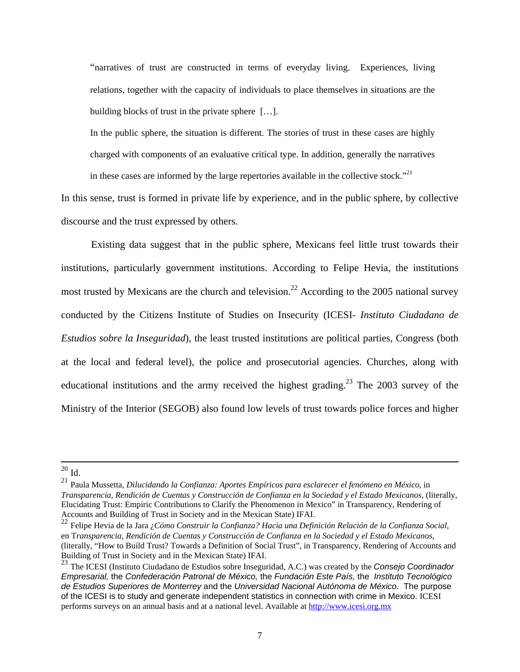"narratives of trust are constructed in terms of everyday living. Experiences, living relations, together with the capacity of individuals to place themselves in situations are the building blocks of trust in the private sphere […].

In the public sphere, the situation is different. The stories of trust in these cases are highly charged with components of an evaluative critical type. In addition, generally the narratives in these cases are informed by the large repertories available in the collective stock."<sup>21</sup>

In this sense, trust is formed in private life by experience, and in the public sphere, by collective discourse and the trust expressed by others.

 Existing data suggest that in the public sphere, Mexicans feel little trust towards their institutions, particularly government institutions. According to Felipe Hevia, the institutions most trusted by Mexicans are the church and television.<sup>22</sup> According to the 2005 national survey conducted by the Citizens Institute of Studies on Insecurity (ICESI- *Instituto Ciudadano de Estudios sobre la Inseguridad*), the least trusted institutions are political parties, Congress (both at the local and federal level), the police and prosecutorial agencies. Churches, along with educational institutions and the army received the highest grading.<sup>23</sup> The 2003 survey of the Ministry of the Interior (SEGOB) also found low levels of trust towards police forces and higher

 $20$  Id.

<sup>21</sup> Paula Mussetta, *Dilucidando la Confianza: Aportes Empíricos para esclarecer el fenómeno en México*, in *Transparencia, Rendición de Cuentas y Construcción de Confianza en la Sociedad y el Estado Mexicanos*, (literally, Elucidating Trust: Empiric Contributions to Clarify the Phenomenon in Mexico" in Transparency, Rendering of Accounts and Building of Trust in Society and in the Mexican State) IFAI.

<sup>22</sup> Felipe Hevia de la Jara ¿*Cómo Construir la Confianza? Hacia una Definición Relación de la Confianza Social*, en T*ransparencia, Rendición de Cuentas y Construcción de Confianza en la Sociedad y el Estado Mexicanos*, (literally, "How to Build Trust? Towards a Definition of Social Trust", in Transparency, Rendering of Accounts and Building of Trust in Society and in the Mexican State) IFAI.

<sup>23</sup> The ICESI (Instituto Ciudadano de Estudios sobre Inseguridad, A.C.) was created by the *Consejo Coordinador Empresarial,* the *Confederación Patronal de México,* the *Fundación Este País,* the *Instituto Tecnológico de Estudios Superiores de Monterrey* and the *Universidad Nacional Autónoma de México*. The purpose of the ICESI is to study and generate independent statistics in connection with crime in Mexico. ICESI performs surveys on an annual basis and at a national level. Available at http://www.icesi.org.mx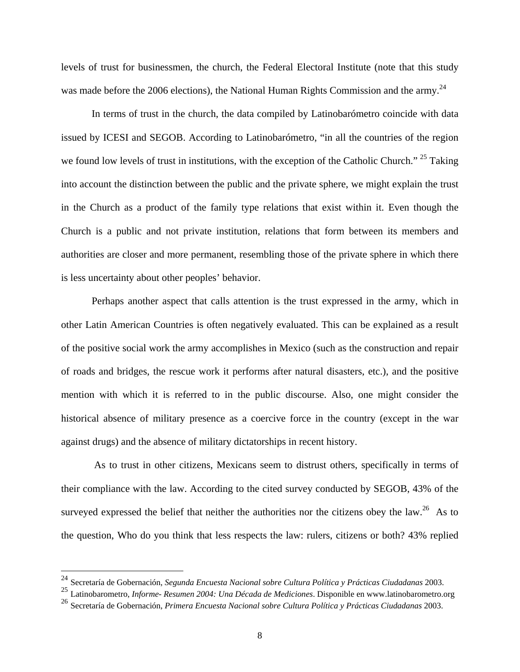levels of trust for businessmen, the church, the Federal Electoral Institute (note that this study was made before the 2006 elections), the National Human Rights Commission and the army.<sup>24</sup>

In terms of trust in the church, the data compiled by Latinobarómetro coincide with data issued by ICESI and SEGOB. According to Latinobarómetro, "in all the countries of the region we found low levels of trust in institutions, with the exception of the Catholic Church." <sup>25</sup> Taking into account the distinction between the public and the private sphere, we might explain the trust in the Church as a product of the family type relations that exist within it. Even though the Church is a public and not private institution, relations that form between its members and authorities are closer and more permanent, resembling those of the private sphere in which there is less uncertainty about other peoples' behavior.

Perhaps another aspect that calls attention is the trust expressed in the army, which in other Latin American Countries is often negatively evaluated. This can be explained as a result of the positive social work the army accomplishes in Mexico (such as the construction and repair of roads and bridges, the rescue work it performs after natural disasters, etc.), and the positive mention with which it is referred to in the public discourse. Also, one might consider the historical absence of military presence as a coercive force in the country (except in the war against drugs) and the absence of military dictatorships in recent history.

 As to trust in other citizens, Mexicans seem to distrust others, specifically in terms of their compliance with the law. According to the cited survey conducted by SEGOB, 43% of the surveyed expressed the belief that neither the authorities nor the citizens obey the law.<sup>26</sup> As to the question, Who do you think that less respects the law: rulers, citizens or both? 43% replied

1

<sup>24</sup> Secretaría de Gobernación, *Segunda Encuesta Nacional sobre Cultura Política y Prácticas Ciudadanas* 2003.

<sup>25</sup> Latinobarometro, *Informe- Resumen 2004: Una Década de Mediciones*. Disponible en www.latinobarometro.org

<sup>26</sup> Secretaría de Gobernación, *Primera Encuesta Nacional sobre Cultura Política y Prácticas Ciudadanas* 2003.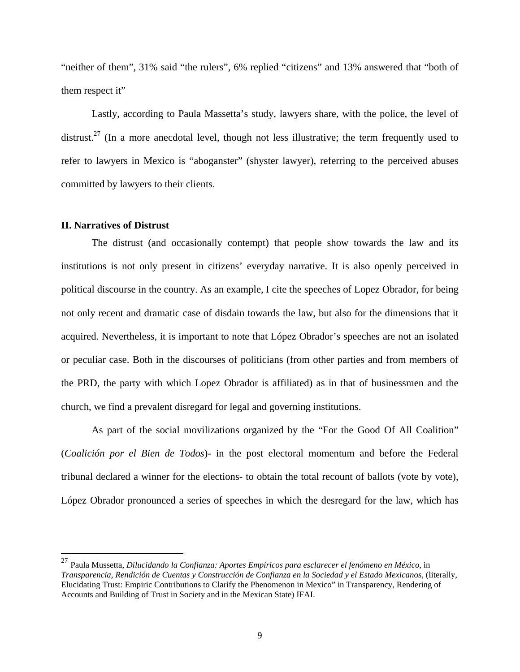"neither of them", 31% said "the rulers", 6% replied "citizens" and 13% answered that "both of them respect it"

Lastly, according to Paula Massetta's study, lawyers share, with the police, the level of distrust.<sup>27</sup> (In a more anecdotal level, though not less illustrative; the term frequently used to refer to lawyers in Mexico is "aboganster" (shyster lawyer), referring to the perceived abuses committed by lawyers to their clients.

## **II. Narratives of Distrust**

 $\overline{a}$ 

The distrust (and occasionally contempt) that people show towards the law and its institutions is not only present in citizens' everyday narrative. It is also openly perceived in political discourse in the country. As an example, I cite the speeches of Lopez Obrador, for being not only recent and dramatic case of disdain towards the law, but also for the dimensions that it acquired. Nevertheless, it is important to note that López Obrador's speeches are not an isolated or peculiar case. Both in the discourses of politicians (from other parties and from members of the PRD, the party with which Lopez Obrador is affiliated) as in that of businessmen and the church, we find a prevalent disregard for legal and governing institutions.

As part of the social movilizations organized by the "For the Good Of All Coalition" (*Coalición por el Bien de Todos*)- in the post electoral momentum and before the Federal tribunal declared a winner for the elections- to obtain the total recount of ballots (vote by vote), López Obrador pronounced a series of speeches in which the desregard for the law, which has

<sup>27</sup> Paula Mussetta, *Dilucidando la Confianza: Aportes Empíricos para esclarecer el fenómeno en México*, in *Transparencia, Rendición de Cuentas y Construcción de Confianza en la Sociedad y el Estado Mexicanos*, (literally, Elucidating Trust: Empiric Contributions to Clarify the Phenomenon in Mexico" in Transparency, Rendering of Accounts and Building of Trust in Society and in the Mexican State) IFAI.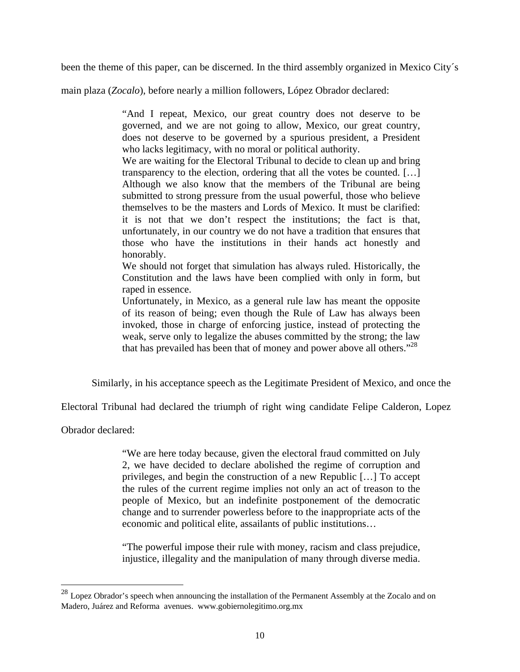been the theme of this paper, can be discerned. In the third assembly organized in Mexico City´s

main plaza (*Zocalo*), before nearly a million followers, López Obrador declared:

"And I repeat, Mexico, our great country does not deserve to be governed, and we are not going to allow, Mexico, our great country, does not deserve to be governed by a spurious president, a President who lacks legitimacy, with no moral or political authority.

We are waiting for the Electoral Tribunal to decide to clean up and bring transparency to the election, ordering that all the votes be counted. […] Although we also know that the members of the Tribunal are being submitted to strong pressure from the usual powerful, those who believe themselves to be the masters and Lords of Mexico. It must be clarified: it is not that we don't respect the institutions; the fact is that, unfortunately, in our country we do not have a tradition that ensures that those who have the institutions in their hands act honestly and honorably.

We should not forget that simulation has always ruled. Historically, the Constitution and the laws have been complied with only in form, but raped in essence.

Unfortunately, in Mexico, as a general rule law has meant the opposite of its reason of being; even though the Rule of Law has always been invoked, those in charge of enforcing justice, instead of protecting the weak, serve only to legalize the abuses committed by the strong; the law that has prevailed has been that of money and power above all others.<sup> $28$ </sup>

Similarly, in his acceptance speech as the Legitimate President of Mexico, and once the

Electoral Tribunal had declared the triumph of right wing candidate Felipe Calderon, Lopez

Obrador declared:

 $\overline{a}$ 

"We are here today because, given the electoral fraud committed on July 2, we have decided to declare abolished the regime of corruption and privileges, and begin the construction of a new Republic […] To accept the rules of the current regime implies not only an act of treason to the people of Mexico, but an indefinite postponement of the democratic change and to surrender powerless before to the inappropriate acts of the economic and political elite, assailants of public institutions…

"The powerful impose their rule with money, racism and class prejudice, injustice, illegality and the manipulation of many through diverse media.

 $^{28}$  Lopez Obrador's speech when announcing the installation of the Permanent Assembly at the Zocalo and on Madero, Juárez and Reforma avenues. www.gobiernolegitimo.org.mx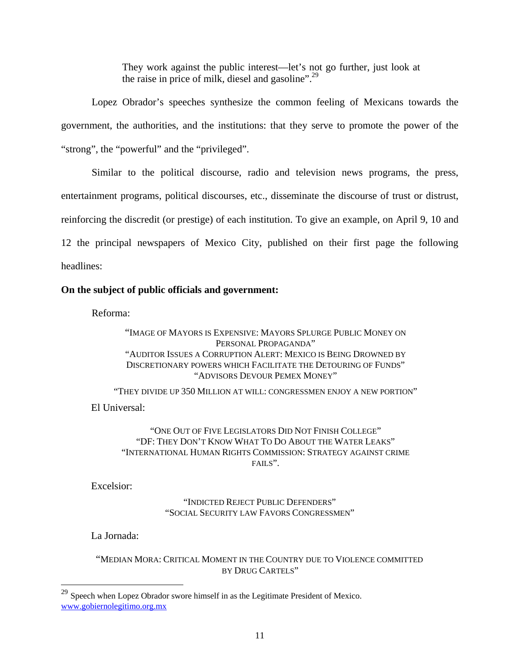They work against the public interest—let's not go further, just look at the raise in price of milk, diesel and gasoline".<sup>29</sup>

Lopez Obrador's speeches synthesize the common feeling of Mexicans towards the government, the authorities, and the institutions: that they serve to promote the power of the "strong", the "powerful" and the "privileged".

Similar to the political discourse, radio and television news programs, the press, entertainment programs, political discourses, etc., disseminate the discourse of trust or distrust, reinforcing the discredit (or prestige) of each institution. To give an example, on April 9, 10 and 12 the principal newspapers of Mexico City, published on their first page the following headlines:

## **On the subject of public officials and government:**

Reforma:

"IMAGE OF MAYORS IS EXPENSIVE: MAYORS SPLURGE PUBLIC MONEY ON PERSONAL PROPAGANDA" "AUDITOR ISSUES A CORRUPTION ALERT: MEXICO IS BEING DROWNED BY DISCRETIONARY POWERS WHICH FACILITATE THE DETOURING OF FUNDS" "ADVISORS DEVOUR PEMEX MONEY"

"THEY DIVIDE UP 350 MILLION AT WILL: CONGRESSMEN ENJOY A NEW PORTION" El Universal:

"ONE OUT OF FIVE LEGISLATORS DID NOT FINISH COLLEGE" "DF: THEY DON'T KNOW WHAT TO DO ABOUT THE WATER LEAKS" "INTERNATIONAL HUMAN RIGHTS COMMISSION: STRATEGY AGAINST CRIME  $FATIS$ 

Excelsior:

"INDICTED REJECT PUBLIC DEFENDERS" "SOCIAL SECURITY LAW FAVORS CONGRESSMEN"

La Jornada:

 $\overline{a}$ 

"MEDIAN MORA: CRITICAL MOMENT IN THE COUNTRY DUE TO VIOLENCE COMMITTED BY DRUG CARTELS"

 $29$  Speech when Lopez Obrador swore himself in as the Legitimate President of Mexico. www.gobiernolegitimo.org.mx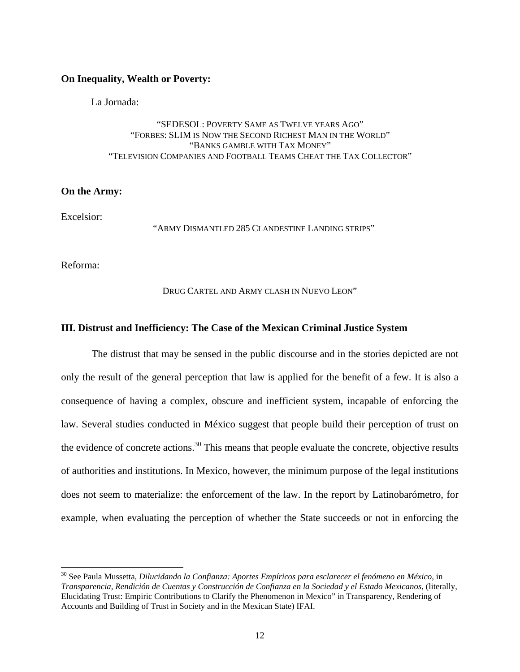## **On Inequality, Wealth or Poverty:**

La Jornada:

## "SEDESOL: POVERTY SAME AS TWELVE YEARS AGO" "FORBES: SLIM IS NOW THE SECOND RICHEST MAN IN THE WORLD" "BANKS GAMBLE WITH TAX MONEY" "TELEVISION COMPANIES AND FOOTBALL TEAMS CHEAT THE TAX COLLECTOR"

## **On the Army:**

Excelsior:

"ARMY DISMANTLED 285 CLANDESTINE LANDING STRIPS"

Reforma:

 $\overline{a}$ 

DRUG CARTEL AND ARMY CLASH IN NUEVO LEON"

### **III. Distrust and Inefficiency: The Case of the Mexican Criminal Justice System**

The distrust that may be sensed in the public discourse and in the stories depicted are not only the result of the general perception that law is applied for the benefit of a few. It is also a consequence of having a complex, obscure and inefficient system, incapable of enforcing the law. Several studies conducted in México suggest that people build their perception of trust on the evidence of concrete actions.<sup>30</sup> This means that people evaluate the concrete, objective results of authorities and institutions. In Mexico, however, the minimum purpose of the legal institutions does not seem to materialize: the enforcement of the law. In the report by Latinobarómetro, for example, when evaluating the perception of whether the State succeeds or not in enforcing the

<sup>30</sup> See Paula Mussetta, *Dilucidando la Confianza: Aportes Empíricos para esclarecer el fenómeno en México*, in *Transparencia, Rendición de Cuentas y Construcción de Confianza en la Sociedad y el Estado Mexicanos*, (literally, Elucidating Trust: Empiric Contributions to Clarify the Phenomenon in Mexico" in Transparency, Rendering of Accounts and Building of Trust in Society and in the Mexican State) IFAI.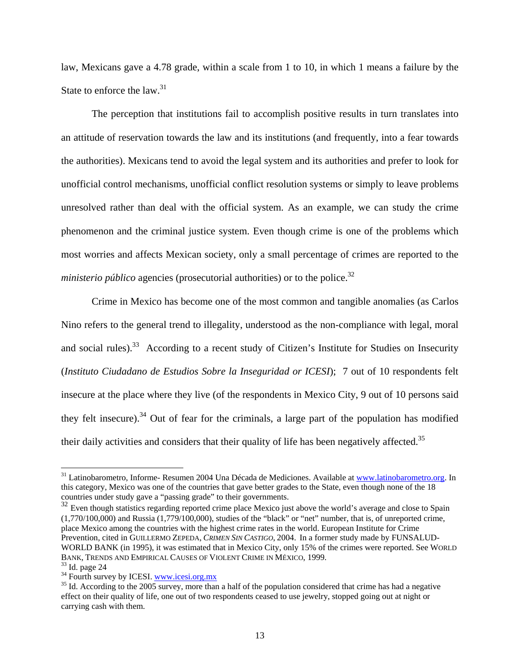law, Mexicans gave a 4.78 grade, within a scale from 1 to 10, in which 1 means a failure by the State to enforce the law.<sup>31</sup>

The perception that institutions fail to accomplish positive results in turn translates into an attitude of reservation towards the law and its institutions (and frequently, into a fear towards the authorities). Mexicans tend to avoid the legal system and its authorities and prefer to look for unofficial control mechanisms, unofficial conflict resolution systems or simply to leave problems unresolved rather than deal with the official system. As an example, we can study the crime phenomenon and the criminal justice system. Even though crime is one of the problems which most worries and affects Mexican society, only a small percentage of crimes are reported to the *ministerio público* agencies (prosecutorial authorities) or to the police.<sup>32</sup>

Crime in Mexico has become one of the most common and tangible anomalies (as Carlos Nino refers to the general trend to illegality, understood as the non-compliance with legal, moral and social rules).<sup>33</sup> According to a recent study of Citizen's Institute for Studies on Insecurity (*Instituto Ciudadano de Estudios Sobre la Inseguridad or ICESI*); 7 out of 10 respondents felt insecure at the place where they live (of the respondents in Mexico City, 9 out of 10 persons said they felt insecure).34 Out of fear for the criminals, a large part of the population has modified their daily activities and considers that their quality of life has been negatively affected.<sup>35</sup>

<sup>&</sup>lt;sup>31</sup> Latinobarometro, Informe- Resumen 2004 Una Década de Mediciones. Available at www.latinobarometro.org. In this category, Mexico was one of the countries that gave better grades to the State, even though none of the 18 countries under study gave a "passing grade" to their governments.

 $32$  Even though statistics regarding reported crime place Mexico just above the world's average and close to Spain  $(1,770/100,000)$  and Russia  $(1,779/100,000)$ , studies of the "black" or "net" number, that is, of unreported crime, place Mexico among the countries with the highest crime rates in the world. European Institute for Crime Prevention, cited in GUILLERMO ZEPEDA, *CRIMEN SIN CASTIGO*, 2004. In a former study made by FUNSALUD-WORLD BANK (in 1995), it was estimated that in Mexico City, only 15% of the crimes were reported. See WORLD BANK, TRENDS AND EMPIRICAL CAUSES OF VIOLENT CRIME IN MÉXICO, 1999.<br><sup>33</sup> Id. page 24<br><sup>34</sup> Fourth survey by ICESI. www.icesi.org.mx

 $35$  Id. According to the 2005 survey, more than a half of the population considered that crime has had a negative effect on their quality of life, one out of two respondents ceased to use jewelry, stopped going out at night or carrying cash with them.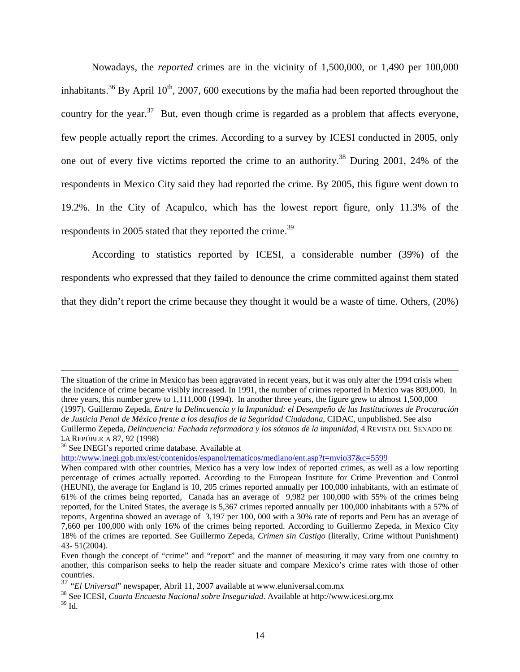Nowadays, the *reported* crimes are in the vicinity of 1,500,000, or 1,490 per 100,000 inhabitants.<sup>36</sup> By April 10<sup>th</sup>, 2007, 600 executions by the mafia had been reported throughout the country for the year.<sup>37</sup> But, even though crime is regarded as a problem that affects everyone, few people actually report the crimes. According to a survey by ICESI conducted in 2005, only one out of every five victims reported the crime to an authority.<sup>38</sup> During 2001, 24% of the respondents in Mexico City said they had reported the crime. By 2005, this figure went down to 19.2%. In the City of Acapulco, which has the lowest report figure, only 11.3% of the respondents in 2005 stated that they reported the crime.<sup>39</sup>

According to statistics reported by ICESI, a considerable number (39%) of the respondents who expressed that they failed to denounce the crime committed against them stated that they didn't report the crime because they thought it would be a waste of time. Others, (20%)

http://www.inegi.gob.mx/est/contenidos/espanol/tematicos/mediano/ent.asp?t=mvio37&c=5599

The situation of the crime in Mexico has been aggravated in recent years, but it was only alter the 1994 crisis when the incidence of crime became visibly increased. In 1991, the number of crimes reported in Mexico was 809,000. In three years, this number grew to 1,111,000 (1994). In another three years, the figure grew to almost 1,500,000 (1997). Guillermo Zepeda, *Entre la Delincuencia y la Impunidad: el Desempeño de las Instituciones de Procuración de Justicia Penal de México frente a los desafíos de la Seguridad Ciudadana*, CIDAC, unpublished. See also Guillermo Zepeda, *Delincuencia: Fachada reformadora y los sótanos de la impunidad*, 4 REVISTA DEL SENADO DE LA REPÚBLICA 87, 92 (1998)<br><sup>36</sup> See INEGI's reported crime database. Available at

When compared with other countries, Mexico has a very low index of reported crimes, as well as a low reporting percentage of crimes actually reported. According to the European Institute for Crime Prevention and Control (HEUNI), the average for England is 10, 205 crimes reported annually per 100,000 inhabitants, with an estimate of 61% of the crimes being reported, Canada has an average of 9,982 per 100,000 with 55% of the crimes being reported, for the United States, the average is 5,367 crimes reported annually per 100,000 inhabitants with a 57% of reports, Argentina showed an average of 3,197 per 100, 000 with a 30% rate of reports and Peru has an average of 7,660 per 100,000 with only 16% of the crimes being reported. According to Guillermo Zepeda, in Mexico City 18% of the crimes are reported. See Guillermo Zepeda, *Crimen sin Castigo* (literally, Crime without Punishment) 43- 51(2004).

Even though the concept of "crime" and "report" and the manner of measuring it may vary from one country to another, this comparison seeks to help the reader situate and compare Mexico's crime rates with those of other countries.

<sup>37</sup> "*El Universal*" newspaper, Abril 11, 2007 available at www.eluniversal.com.mx

<sup>38</sup> See ICESI, *Cuarta Encuesta Nacional sobre Inseguridad*. Available at http://www.icesi.org.mx

 $^{39}$  Id.  $\,$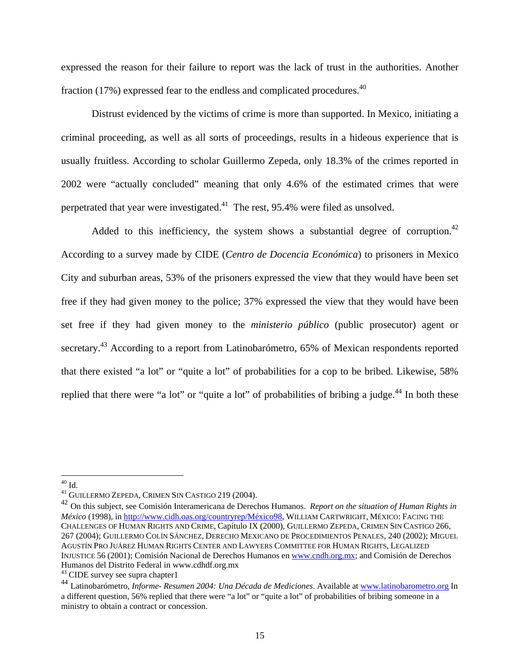expressed the reason for their failure to report was the lack of trust in the authorities. Another fraction  $(17%)$  expressed fear to the endless and complicated procedures.<sup>40</sup>

Distrust evidenced by the victims of crime is more than supported. In Mexico, initiating a criminal proceeding, as well as all sorts of proceedings, results in a hideous experience that is usually fruitless. According to scholar Guillermo Zepeda, only 18.3% of the crimes reported in 2002 were "actually concluded" meaning that only 4.6% of the estimated crimes that were perpetrated that year were investigated.41 The rest, 95.4% were filed as unsolved.

Added to this inefficiency, the system shows a substantial degree of corruption.<sup>42</sup> According to a survey made by CIDE (*Centro de Docencia Económica*) to prisoners in Mexico City and suburban areas, 53% of the prisoners expressed the view that they would have been set free if they had given money to the police; 37% expressed the view that they would have been set free if they had given money to the *ministerio público* (public prosecutor) agent or secretary.<sup>43</sup> According to a report from Latinobarómetro, 65% of Mexican respondents reported that there existed "a lot" or "quite a lot" of probabilities for a cop to be bribed. Likewise, 58% replied that there were "a lot" or "quite a lot" of probabilities of bribing a judge.<sup>44</sup> In both these

1

 $^{40}$  Id.

<sup>&</sup>lt;sup>41</sup> GUILLERMO ZEPEDA, CRIMEN SIN CASTIGO 219 (2004).<br><sup>42</sup> On this subject, see Comisión Interamericana de Derechos Humanos. *Report on the situation of Human Rights in México* (1998), in http://www.cidh.oas.org/countryrep/México98, WILLIAM CARTWRIGHT, MÉXICO: FACING THE CHALLENGES OF HUMAN RIGHTS AND CRIME, Capítulo IX (2000), GUILLERMO ZEPEDA, CRIMEN SIN CASTIGO 266, 267 (2004); GUILLERMO COLÍN SÁNCHEZ, DERECHO MEXICANO DE PROCEDIMIENTOS PENALES, 240 (2002); MIGUEL AGUSTÍN PRO JUÁREZ HUMAN RIGHTS CENTER AND LAWYERS COMMITTEE FOR HUMAN RIGHTS, LEGALIZED INJUSTICE 56 (2001); Comisión Nacional de Derechos Humanos en www.cndh.org.mx; and Comisión de Derechos Humanos del Distrito Federal in www.cdhdf.org.mx

<sup>&</sup>lt;sup>43</sup> CIDE survey see supra chapter1

<sup>44</sup> Latinobarómetro, *Informe- Resumen 2004: Una Década de Mediciones*. Available at www.latinobarometro.org In a different question, 56% replied that there were "a lot" or "quite a lot" of probabilities of bribing someone in a ministry to obtain a contract or concession.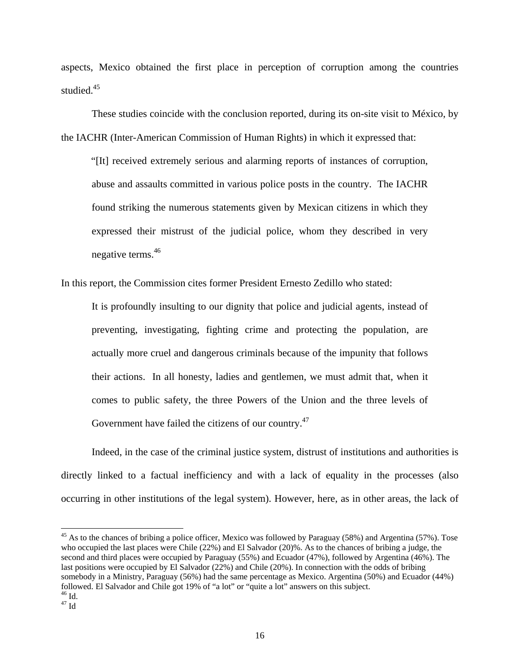aspects, Mexico obtained the first place in perception of corruption among the countries studied.<sup>45</sup>

These studies coincide with the conclusion reported, during its on-site visit to México, by the IACHR (Inter-American Commission of Human Rights) in which it expressed that:

"[It] received extremely serious and alarming reports of instances of corruption, abuse and assaults committed in various police posts in the country. The IACHR found striking the numerous statements given by Mexican citizens in which they expressed their mistrust of the judicial police, whom they described in very negative terms.<sup>46</sup>

In this report, the Commission cites former President Ernesto Zedillo who stated:

It is profoundly insulting to our dignity that police and judicial agents, instead of preventing, investigating, fighting crime and protecting the population, are actually more cruel and dangerous criminals because of the impunity that follows their actions. In all honesty, ladies and gentlemen, we must admit that, when it comes to public safety, the three Powers of the Union and the three levels of Government have failed the citizens of our country.<sup>47</sup>

Indeed, in the case of the criminal justice system, distrust of institutions and authorities is directly linked to a factual inefficiency and with a lack of equality in the processes (also occurring in other institutions of the legal system). However, here, as in other areas, the lack of

 $45$  As to the chances of bribing a police officer, Mexico was followed by Paraguay (58%) and Argentina (57%). Tose who occupied the last places were Chile (22%) and El Salvador (20)%. As to the chances of bribing a judge, the second and third places were occupied by Paraguay (55%) and Ecuador (47%), followed by Argentina (46%). The last positions were occupied by El Salvador (22%) and Chile (20%). In connection with the odds of bribing somebody in a Ministry, Paraguay (56%) had the same percentage as Mexico. Argentina (50%) and Ecuador (44%) followed. El Salvador and Chile got 19% of "a lot" or "quite a lot" answers on this subject.  $^{46}$  Id.

 $47 \text{ Id}$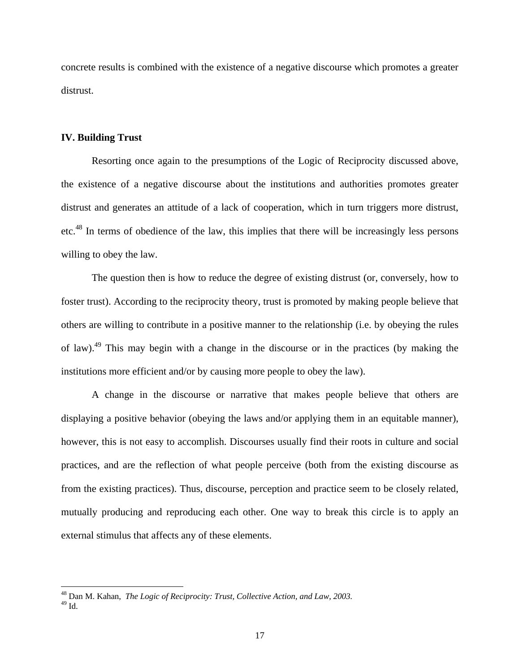concrete results is combined with the existence of a negative discourse which promotes a greater distrust.

## **IV. Building Trust**

 $\overline{a}$ 

Resorting once again to the presumptions of the Logic of Reciprocity discussed above, the existence of a negative discourse about the institutions and authorities promotes greater distrust and generates an attitude of a lack of cooperation, which in turn triggers more distrust, etc.48 In terms of obedience of the law, this implies that there will be increasingly less persons willing to obey the law.

The question then is how to reduce the degree of existing distrust (or, conversely, how to foster trust). According to the reciprocity theory, trust is promoted by making people believe that others are willing to contribute in a positive manner to the relationship (i.e. by obeying the rules of law).49 This may begin with a change in the discourse or in the practices (by making the institutions more efficient and/or by causing more people to obey the law).

A change in the discourse or narrative that makes people believe that others are displaying a positive behavior (obeying the laws and/or applying them in an equitable manner), however, this is not easy to accomplish. Discourses usually find their roots in culture and social practices, and are the reflection of what people perceive (both from the existing discourse as from the existing practices). Thus, discourse, perception and practice seem to be closely related, mutually producing and reproducing each other. One way to break this circle is to apply an external stimulus that affects any of these elements.

<sup>48</sup> Dan M. Kahan, *The Logic of Reciprocity: Trust, Collective Action, and Law, 2003.*  $^{49}$  Id.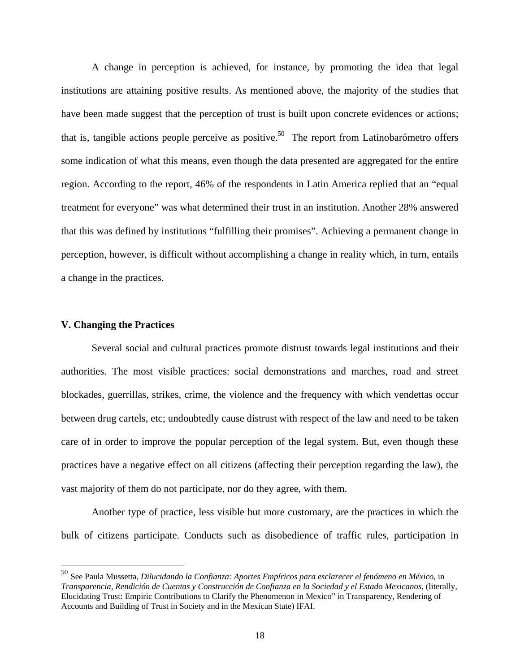A change in perception is achieved, for instance, by promoting the idea that legal institutions are attaining positive results. As mentioned above, the majority of the studies that have been made suggest that the perception of trust is built upon concrete evidences or actions; that is, tangible actions people perceive as positive.<sup>50</sup> The report from Latinobarómetro offers some indication of what this means, even though the data presented are aggregated for the entire region. According to the report, 46% of the respondents in Latin America replied that an "equal treatment for everyone" was what determined their trust in an institution. Another 28% answered that this was defined by institutions "fulfilling their promises". Achieving a permanent change in perception, however, is difficult without accomplishing a change in reality which, in turn, entails a change in the practices.

#### **V. Changing the Practices**

 $\overline{a}$ 

Several social and cultural practices promote distrust towards legal institutions and their authorities. The most visible practices: social demonstrations and marches, road and street blockades, guerrillas, strikes, crime, the violence and the frequency with which vendettas occur between drug cartels, etc; undoubtedly cause distrust with respect of the law and need to be taken care of in order to improve the popular perception of the legal system. But, even though these practices have a negative effect on all citizens (affecting their perception regarding the law), the vast majority of them do not participate, nor do they agree, with them.

Another type of practice, less visible but more customary, are the practices in which the bulk of citizens participate. Conducts such as disobedience of traffic rules, participation in

<sup>50</sup> See Paula Mussetta, *Dilucidando la Confianza: Aportes Empíricos para esclarecer el fenómeno en México*, in *Transparencia, Rendición de Cuentas y Construcción de Confianza en la Sociedad y el Estado Mexicanos*, (literally, Elucidating Trust: Empiric Contributions to Clarify the Phenomenon in Mexico" in Transparency, Rendering of Accounts and Building of Trust in Society and in the Mexican State) IFAI.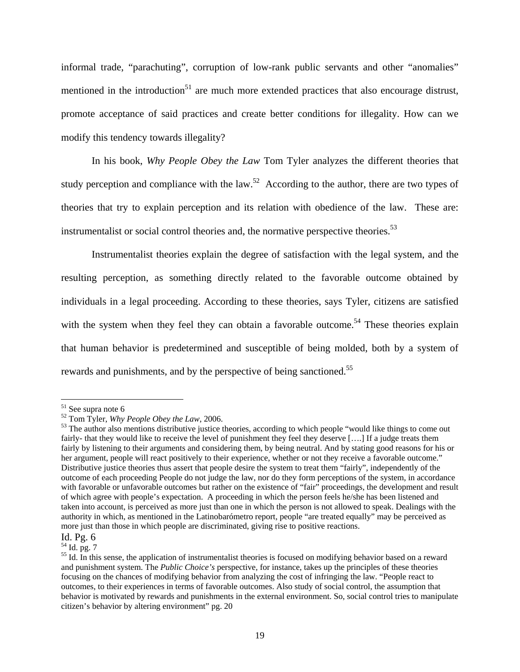informal trade, "parachuting", corruption of low-rank public servants and other "anomalies" mentioned in the introduction<sup>51</sup> are much more extended practices that also encourage distrust, promote acceptance of said practices and create better conditions for illegality. How can we modify this tendency towards illegality?

In his book, *Why People Obey the Law* Tom Tyler analyzes the different theories that study perception and compliance with the law.<sup>52</sup> According to the author, there are two types of theories that try to explain perception and its relation with obedience of the law. These are: instrumentalist or social control theories and, the normative perspective theories.<sup>53</sup>

Instrumentalist theories explain the degree of satisfaction with the legal system, and the resulting perception, as something directly related to the favorable outcome obtained by individuals in a legal proceeding. According to these theories, says Tyler, citizens are satisfied with the system when they feel they can obtain a favorable outcome.<sup>54</sup> These theories explain that human behavior is predetermined and susceptible of being molded, both by a system of rewards and punishments, and by the perspective of being sanctioned.<sup>55</sup>

1

<sup>&</sup>lt;sup>51</sup> See supra note 6

<sup>&</sup>lt;sup>52</sup> Tom Tyler, *Why People Obey the Law*, 2006.<br><sup>53</sup> The author also mentions distributive justice theories, according to which people "would like things to come out fairly- that they would like to receive the level of punishment they feel they deserve [….] If a judge treats them fairly by listening to their arguments and considering them, by being neutral. And by stating good reasons for his or her argument, people will react positively to their experience, whether or not they receive a favorable outcome." Distributive justice theories thus assert that people desire the system to treat them "fairly", independently of the outcome of each proceeding People do not judge the law, nor do they form perceptions of the system, in accordance with favorable or unfavorable outcomes but rather on the existence of "fair" proceedings, the development and result of which agree with people's expectation. A proceeding in which the person feels he/she has been listened and taken into account, is perceived as more just than one in which the person is not allowed to speak. Dealings with the authority in which, as mentioned in the Latinobarómetro report, people "are treated equally" may be perceived as more just than those in which people are discriminated, giving rise to positive reactions.

Id. Pg. 6

<sup>54</sup> Id. pg. 7

<sup>&</sup>lt;sup>55</sup> Id. In this sense, the application of instrumentalist theories is focused on modifying behavior based on a reward and punishment system. The *Public Choice's* perspective*,* for instance, takes up the principles of these theories focusing on the chances of modifying behavior from analyzing the cost of infringing the law. "People react to outcomes, to their experiences in terms of favorable outcomes. Also study of social control, the assumption that behavior is motivated by rewards and punishments in the external environment. So, social control tries to manipulate citizen's behavior by altering environment" pg. 20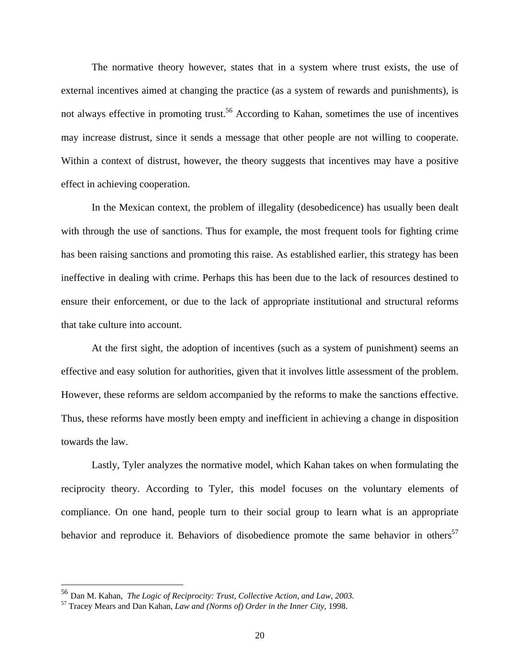The normative theory however, states that in a system where trust exists, the use of external incentives aimed at changing the practice (as a system of rewards and punishments), is not always effective in promoting trust.<sup>56</sup> According to Kahan, sometimes the use of incentives may increase distrust, since it sends a message that other people are not willing to cooperate. Within a context of distrust, however, the theory suggests that incentives may have a positive effect in achieving cooperation.

In the Mexican context, the problem of illegality (desobedicence) has usually been dealt with through the use of sanctions. Thus for example, the most frequent tools for fighting crime has been raising sanctions and promoting this raise. As established earlier, this strategy has been ineffective in dealing with crime. Perhaps this has been due to the lack of resources destined to ensure their enforcement, or due to the lack of appropriate institutional and structural reforms that take culture into account.

At the first sight, the adoption of incentives (such as a system of punishment) seems an effective and easy solution for authorities, given that it involves little assessment of the problem. However, these reforms are seldom accompanied by the reforms to make the sanctions effective. Thus, these reforms have mostly been empty and inefficient in achieving a change in disposition towards the law.

Lastly, Tyler analyzes the normative model, which Kahan takes on when formulating the reciprocity theory. According to Tyler, this model focuses on the voluntary elements of compliance. On one hand, people turn to their social group to learn what is an appropriate behavior and reproduce it. Behaviors of disobedience promote the same behavior in others<sup>57</sup>

1

<sup>56</sup> Dan M. Kahan, *The Logic of Reciprocity: Trust, Collective Action, and Law, 2003.*

<sup>57</sup> Tracey Mears and Dan Kahan, *Law and (Norms of) Order in the Inner City*, 1998.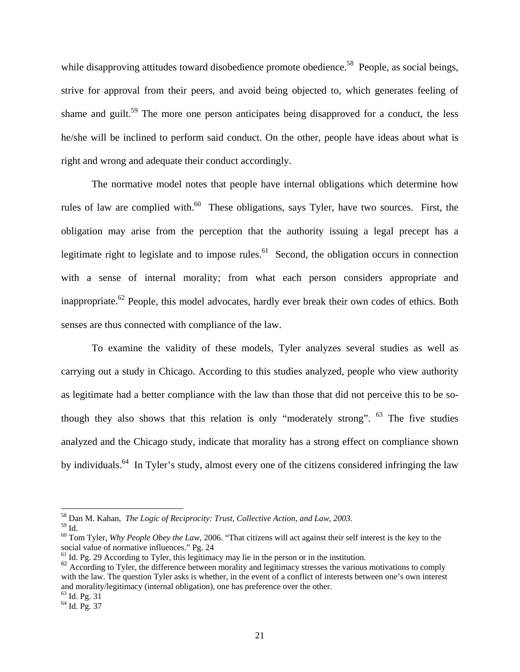while disapproving attitudes toward disobedience promote obedience.<sup>58</sup> People, as social beings, strive for approval from their peers, and avoid being objected to, which generates feeling of shame and guilt.<sup>59</sup> The more one person anticipates being disapproved for a conduct, the less he/she will be inclined to perform said conduct. On the other, people have ideas about what is right and wrong and adequate their conduct accordingly.

The normative model notes that people have internal obligations which determine how rules of law are complied with.<sup>60</sup> These obligations, says Tyler, have two sources. First, the obligation may arise from the perception that the authority issuing a legal precept has a legitimate right to legislate and to impose rules.<sup>61</sup> Second, the obligation occurs in connection with a sense of internal morality; from what each person considers appropriate and inappropriate.<sup>62</sup> People, this model advocates, hardly ever break their own codes of ethics. Both senses are thus connected with compliance of the law.

To examine the validity of these models, Tyler analyzes several studies as well as carrying out a study in Chicago. According to this studies analyzed, people who view authority as legitimate had a better compliance with the law than those that did not perceive this to be sothough they also shows that this relation is only "moderately strong".  $63$  The five studies analyzed and the Chicago study, indicate that morality has a strong effect on compliance shown by individuals.64 In Tyler's study, almost every one of the citizens considered infringing the law

<sup>58</sup> Dan M. Kahan, *The Logic of Reciprocity: Trust, Collective Action, and Law, 2003.*

 $^{59}$  Id.

<sup>60</sup> Tom Tyler, *Why People Obey the Law*, 2006. "That citizens will act against their self interest is the key to the social value of normative influences." Pg. 24

 $<sup>61</sup>$  Id. Pg. 29 According to Tyler, this legitimacy may lie in the person or in the institution.</sup>

<sup>&</sup>lt;sup>62</sup> According to Tyler, the difference between morality and legitimacy stresses the various motivations to comply with the law. The question Tyler asks is whether, in the event of a conflict of interests between one's own interest and morality/legitimacy (internal obligation), one has preference over the other.

<sup>63</sup> Id. Pg. 31

 $^{64}$  Id. Pg. 37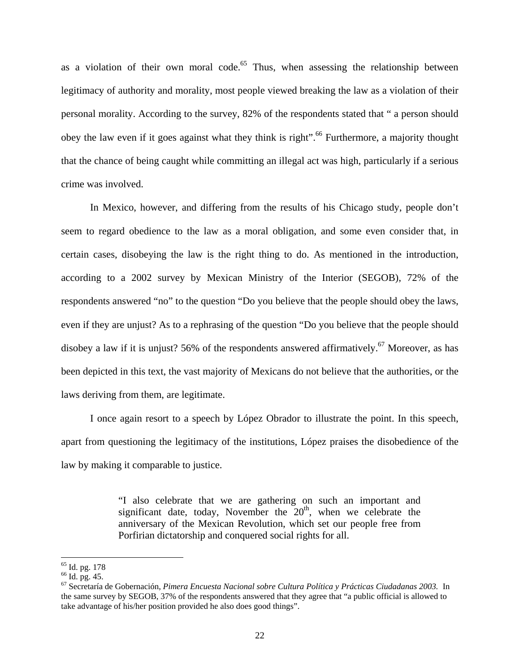as a violation of their own moral code.<sup>65</sup> Thus, when assessing the relationship between legitimacy of authority and morality, most people viewed breaking the law as a violation of their personal morality. According to the survey, 82% of the respondents stated that " a person should obey the law even if it goes against what they think is right".<sup>66</sup> Furthermore, a majority thought that the chance of being caught while committing an illegal act was high, particularly if a serious crime was involved.

In Mexico, however, and differing from the results of his Chicago study, people don't seem to regard obedience to the law as a moral obligation, and some even consider that, in certain cases, disobeying the law is the right thing to do. As mentioned in the introduction, according to a 2002 survey by Mexican Ministry of the Interior (SEGOB), 72% of the respondents answered "no" to the question "Do you believe that the people should obey the laws, even if they are unjust? As to a rephrasing of the question "Do you believe that the people should disobey a law if it is unjust? 56% of the respondents answered affirmatively.<sup>67</sup> Moreover, as has been depicted in this text, the vast majority of Mexicans do not believe that the authorities, or the laws deriving from them, are legitimate.

I once again resort to a speech by López Obrador to illustrate the point. In this speech, apart from questioning the legitimacy of the institutions, López praises the disobedience of the law by making it comparable to justice.

> "I also celebrate that we are gathering on such an important and significant date, today, November the  $20<sup>th</sup>$ , when we celebrate the anniversary of the Mexican Revolution, which set our people free from Porfirian dictatorship and conquered social rights for all.

<sup>65</sup> Id. pg. 178

 $66$  Id. pg. 45.

<sup>67</sup> Secretaría de Gobernación, *Pimera Encuesta Nacional sobre Cultura Política y Prácticas Ciudadanas 2003*. In the same survey by SEGOB, 37% of the respondents answered that they agree that "a public official is allowed to take advantage of his/her position provided he also does good things".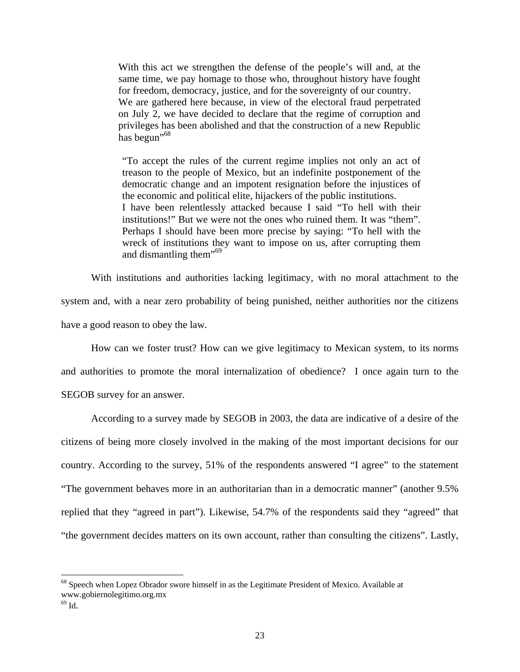With this act we strengthen the defense of the people's will and, at the same time, we pay homage to those who, throughout history have fought for freedom, democracy, justice, and for the sovereignty of our country. We are gathered here because, in view of the electoral fraud perpetrated on July 2, we have decided to declare that the regime of corruption and privileges has been abolished and that the construction of a new Republic has begun"<sup>68</sup>

"To accept the rules of the current regime implies not only an act of treason to the people of Mexico, but an indefinite postponement of the democratic change and an impotent resignation before the injustices of the economic and political elite, hijackers of the public institutions. I have been relentlessly attacked because I said "To hell with their institutions!" But we were not the ones who ruined them. It was "them". Perhaps I should have been more precise by saying: "To hell with the wreck of institutions they want to impose on us, after corrupting them and dismantling them<sup>"69</sup>

 With institutions and authorities lacking legitimacy, with no moral attachment to the system and, with a near zero probability of being punished, neither authorities nor the citizens have a good reason to obey the law.

How can we foster trust? How can we give legitimacy to Mexican system, to its norms and authorities to promote the moral internalization of obedience? I once again turn to the SEGOB survey for an answer.

According to a survey made by SEGOB in 2003, the data are indicative of a desire of the citizens of being more closely involved in the making of the most important decisions for our country. According to the survey, 51% of the respondents answered "I agree" to the statement "The government behaves more in an authoritarian than in a democratic manner" (another 9.5% replied that they "agreed in part"). Likewise, 54.7% of the respondents said they "agreed" that "the government decides matters on its own account, rather than consulting the citizens". Lastly,

<sup>&</sup>lt;sup>68</sup> Speech when Lopez Obrador swore himself in as the Legitimate President of Mexico. Available at www.gobiernolegitimo.org.mx

 $69$  Id.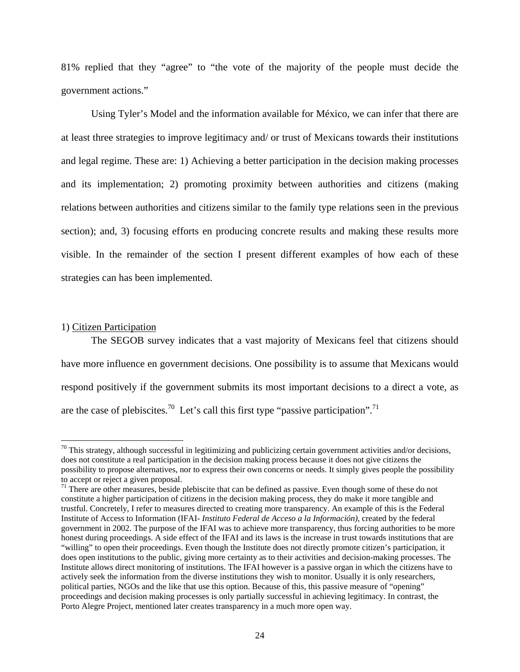81% replied that they "agree" to "the vote of the majority of the people must decide the government actions."

Using Tyler's Model and the information available for México, we can infer that there are at least three strategies to improve legitimacy and/ or trust of Mexicans towards their institutions and legal regime. These are: 1) Achieving a better participation in the decision making processes and its implementation; 2) promoting proximity between authorities and citizens (making relations between authorities and citizens similar to the family type relations seen in the previous section); and, 3) focusing efforts en producing concrete results and making these results more visible. In the remainder of the section I present different examples of how each of these strategies can has been implemented.

## 1) Citizen Participation

<u>.</u>

 The SEGOB survey indicates that a vast majority of Mexicans feel that citizens should have more influence en government decisions. One possibility is to assume that Mexicans would respond positively if the government submits its most important decisions to a direct a vote, as are the case of plebiscites.<sup>70</sup> Let's call this first type "passive participation".<sup>71</sup>

 $70$  This strategy, although successful in legitimizing and publicizing certain government activities and/or decisions, does not constitute a real participation in the decision making process because it does not give citizens the possibility to propose alternatives, nor to express their own concerns or needs. It simply gives people the possibility to accept or reject a given proposal.

 $71$  There are other measures, beside plebiscite that can be defined as passive. Even though some of these do not constitute a higher participation of citizens in the decision making process, they do make it more tangible and trustful. Concretely, I refer to measures directed to creating more transparency. An example of this is the Federal Institute of Access to Information (IFAI- *Instituto Federal de Acceso a la Información)*, created by the federal government in 2002. The purpose of the IFAI was to achieve more transparency, thus forcing authorities to be more honest during proceedings. A side effect of the IFAI and its laws is the increase in trust towards institutions that are "willing" to open their proceedings. Even though the Institute does not directly promote citizen's participation, it does open institutions to the public, giving more certainty as to their activities and decision-making processes. The Institute allows direct monitoring of institutions. The IFAI however is a passive organ in which the citizens have to actively seek the information from the diverse institutions they wish to monitor. Usually it is only researchers, political parties, NGOs and the like that use this option. Because of this, this passive measure of "opening" proceedings and decision making processes is only partially successful in achieving legitimacy. In contrast, the Porto Alegre Project, mentioned later creates transparency in a much more open way.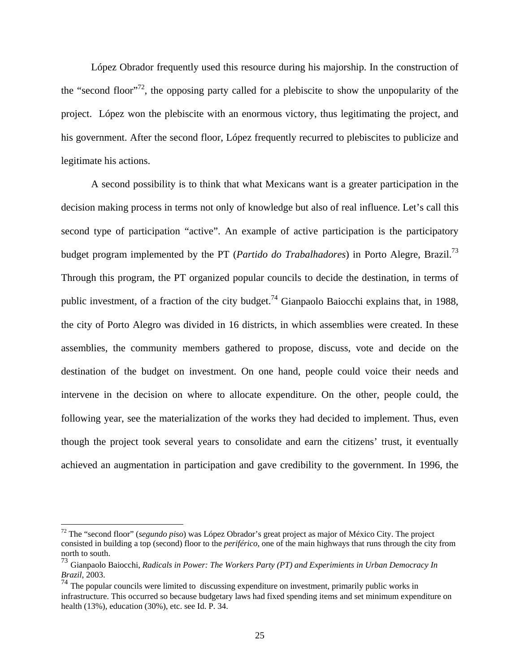López Obrador frequently used this resource during his majorship. In the construction of the "second floor"<sup>72</sup>, the opposing party called for a plebiscite to show the unpopularity of the project. López won the plebiscite with an enormous victory, thus legitimating the project, and his government. After the second floor, López frequently recurred to plebiscites to publicize and legitimate his actions.

 A second possibility is to think that what Mexicans want is a greater participation in the decision making process in terms not only of knowledge but also of real influence. Let's call this second type of participation "active". An example of active participation is the participatory budget program implemented by the PT (*Partido do Trabalhadores*) in Porto Alegre, Brazil.73 Through this program, the PT organized popular councils to decide the destination, in terms of public investment, of a fraction of the city budget.<sup>74</sup> Gianpaolo Baiocchi explains that, in 1988, the city of Porto Alegro was divided in 16 districts, in which assemblies were created. In these assemblies, the community members gathered to propose, discuss, vote and decide on the destination of the budget on investment. On one hand, people could voice their needs and intervene in the decision on where to allocate expenditure. On the other, people could, the following year, see the materialization of the works they had decided to implement. Thus, even though the project took several years to consolidate and earn the citizens' trust, it eventually achieved an augmentation in participation and gave credibility to the government. In 1996, the

<sup>72</sup> The "second floor" (*segundo piso*) was López Obrador's great project as major of México City. The project consisted in building a top (second) floor to the *periférico*, one of the main highways that runs through the city from north to south.

<sup>73</sup> Gianpaolo Baiocchi, *Radicals in Power: The Workers Party (PT) and Experimients in Urban Democracy In Brazil*, 2003.

 $74$  The popular councils were limited to discussing expenditure on investment, primarily public works in infrastructure. This occurred so because budgetary laws had fixed spending items and set minimum expenditure on health (13%), education (30%), etc. see Id. P. 34.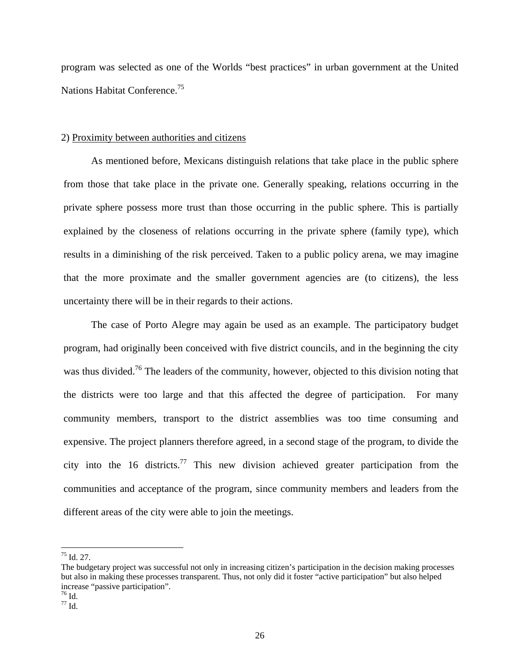program was selected as one of the Worlds "best practices" in urban government at the United Nations Habitat Conference.<sup>75</sup>

## 2) Proximity between authorities and citizens

As mentioned before, Mexicans distinguish relations that take place in the public sphere from those that take place in the private one. Generally speaking, relations occurring in the private sphere possess more trust than those occurring in the public sphere. This is partially explained by the closeness of relations occurring in the private sphere (family type), which results in a diminishing of the risk perceived. Taken to a public policy arena, we may imagine that the more proximate and the smaller government agencies are (to citizens), the less uncertainty there will be in their regards to their actions.

The case of Porto Alegre may again be used as an example. The participatory budget program, had originally been conceived with five district councils, and in the beginning the city was thus divided.<sup>76</sup> The leaders of the community, however, objected to this division noting that the districts were too large and that this affected the degree of participation. For many community members, transport to the district assemblies was too time consuming and expensive. The project planners therefore agreed, in a second stage of the program, to divide the city into the 16 districts.<sup>77</sup> This new division achieved greater participation from the communities and acceptance of the program, since community members and leaders from the different areas of the city were able to join the meetings.

 $\overline{a}$  $^{75}$  Id. 27.

The budgetary project was successful not only in increasing citizen's participation in the decision making processes but also in making these processes transparent. Thus, not only did it foster "active participation" but also helped increase "passive participation".

<sup>76</sup> Id.

 $77 \overline{1d}$ .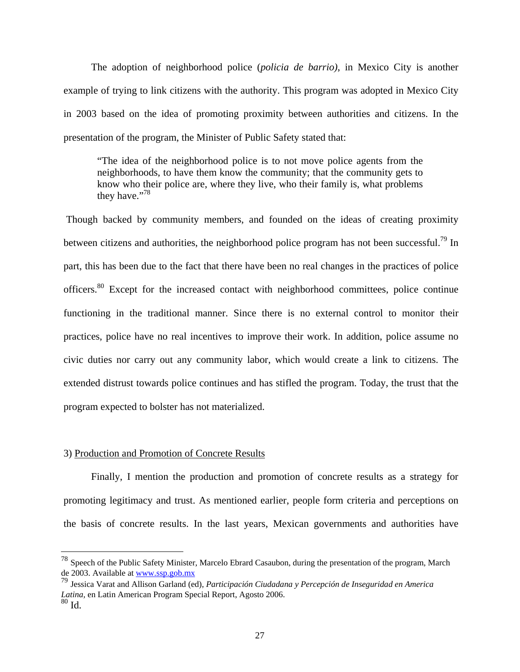The adoption of neighborhood police (*policia de barrio)*, in Mexico City is another example of trying to link citizens with the authority. This program was adopted in Mexico City in 2003 based on the idea of promoting proximity between authorities and citizens. In the presentation of the program, the Minister of Public Safety stated that:

"The idea of the neighborhood police is to not move police agents from the neighborhoods, to have them know the community; that the community gets to know who their police are, where they live, who their family is, what problems they have."<sup>78</sup>

 Though backed by community members, and founded on the ideas of creating proximity between citizens and authorities, the neighborhood police program has not been successful.<sup>79</sup> In part, this has been due to the fact that there have been no real changes in the practices of police officers.<sup>80</sup> Except for the increased contact with neighborhood committees, police continue functioning in the traditional manner. Since there is no external control to monitor their practices, police have no real incentives to improve their work. In addition, police assume no civic duties nor carry out any community labor, which would create a link to citizens. The extended distrust towards police continues and has stifled the program. Today, the trust that the program expected to bolster has not materialized.

## 3) Production and Promotion of Concrete Results

 $\overline{a}$ 

 Finally, I mention the production and promotion of concrete results as a strategy for promoting legitimacy and trust. As mentioned earlier, people form criteria and perceptions on the basis of concrete results. In the last years, Mexican governments and authorities have

 $^{78}$  Speech of the Public Safety Minister, Marcelo Ebrard Casaubon, during the presentation of the program, March de 2003. Available at www.ssp.gob.mx

<sup>79</sup> Jessica Varat and Allison Garland (ed), *Participación Ciudadana y Percepción de Inseguridad en America Latina,* en Latin American Program Special Report, Agosto 2006.  $80$  Id.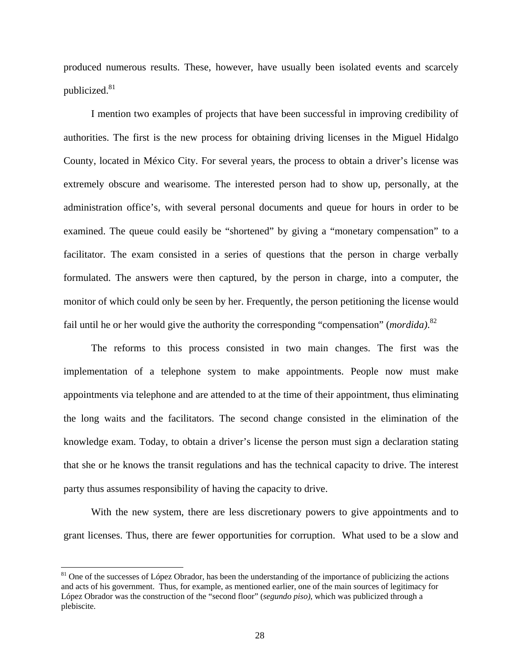produced numerous results. These, however, have usually been isolated events and scarcely publicized.<sup>81</sup>

I mention two examples of projects that have been successful in improving credibility of authorities. The first is the new process for obtaining driving licenses in the Miguel Hidalgo County, located in México City. For several years, the process to obtain a driver's license was extremely obscure and wearisome. The interested person had to show up, personally, at the administration office's, with several personal documents and queue for hours in order to be examined. The queue could easily be "shortened" by giving a "monetary compensation" to a facilitator. The exam consisted in a series of questions that the person in charge verbally formulated. The answers were then captured, by the person in charge, into a computer, the monitor of which could only be seen by her. Frequently, the person petitioning the license would fail until he or her would give the authority the corresponding "compensation" (*mordida)*. 82

The reforms to this process consisted in two main changes. The first was the implementation of a telephone system to make appointments. People now must make appointments via telephone and are attended to at the time of their appointment, thus eliminating the long waits and the facilitators. The second change consisted in the elimination of the knowledge exam. Today, to obtain a driver's license the person must sign a declaration stating that she or he knows the transit regulations and has the technical capacity to drive. The interest party thus assumes responsibility of having the capacity to drive.

With the new system, there are less discretionary powers to give appointments and to grant licenses. Thus, there are fewer opportunities for corruption. What used to be a slow and

1

 $81$  One of the successes of López Obrador, has been the understanding of the importance of publicizing the actions and acts of his government. Thus, for example, as mentioned earlier, one of the main sources of legitimacy for López Obrador was the construction of the "second floor" (*segundo piso)*, which was publicized through a plebiscite.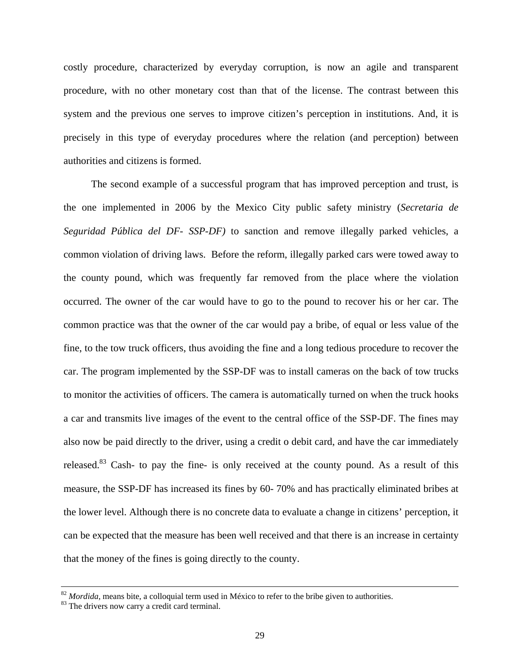costly procedure, characterized by everyday corruption, is now an agile and transparent procedure, with no other monetary cost than that of the license. The contrast between this system and the previous one serves to improve citizen's perception in institutions. And, it is precisely in this type of everyday procedures where the relation (and perception) between authorities and citizens is formed.

The second example of a successful program that has improved perception and trust, is the one implemented in 2006 by the Mexico City public safety ministry (*Secretaria de Seguridad Pública del DF- SSP-DF)* to sanction and remove illegally parked vehicles, a common violation of driving laws. Before the reform, illegally parked cars were towed away to the county pound, which was frequently far removed from the place where the violation occurred. The owner of the car would have to go to the pound to recover his or her car. The common practice was that the owner of the car would pay a bribe, of equal or less value of the fine, to the tow truck officers, thus avoiding the fine and a long tedious procedure to recover the car. The program implemented by the SSP-DF was to install cameras on the back of tow trucks to monitor the activities of officers. The camera is automatically turned on when the truck hooks a car and transmits live images of the event to the central office of the SSP-DF. The fines may also now be paid directly to the driver, using a credit o debit card, and have the car immediately released.83 Cash- to pay the fine- is only received at the county pound. As a result of this measure, the SSP-DF has increased its fines by 60- 70% and has practically eliminated bribes at the lower level. Although there is no concrete data to evaluate a change in citizens' perception, it can be expected that the measure has been well received and that there is an increase in certainty that the money of the fines is going directly to the county.

<sup>&</sup>lt;sup>82</sup> *Mordida*, means bite, a colloquial term used in México to refer to the bribe given to authorities.<br><sup>83</sup> The drivers now carry a credit card terminal.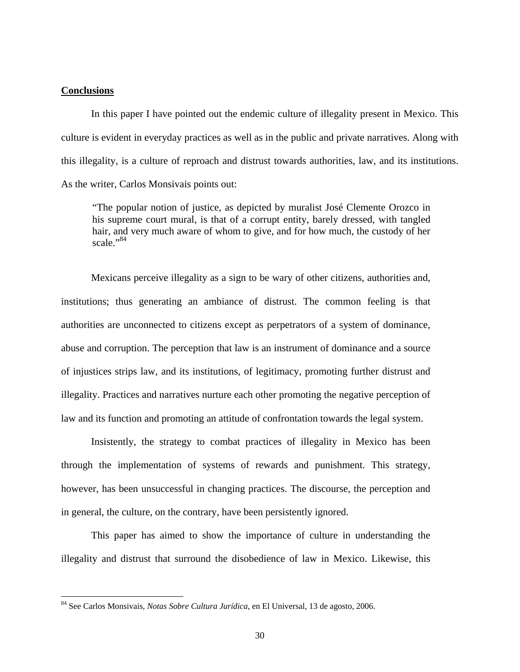## **Conclusions**

1

 In this paper I have pointed out the endemic culture of illegality present in Mexico. This culture is evident in everyday practices as well as in the public and private narratives. Along with this illegality, is a culture of reproach and distrust towards authorities, law, and its institutions. As the writer, Carlos Monsivais points out:

"The popular notion of justice, as depicted by muralist José Clemente Orozco in his supreme court mural, is that of a corrupt entity, barely dressed, with tangled hair, and very much aware of whom to give, and for how much, the custody of her scale."<sup>84</sup>

Mexicans perceive illegality as a sign to be wary of other citizens, authorities and, institutions; thus generating an ambiance of distrust. The common feeling is that authorities are unconnected to citizens except as perpetrators of a system of dominance, abuse and corruption. The perception that law is an instrument of dominance and a source of injustices strips law, and its institutions, of legitimacy, promoting further distrust and illegality. Practices and narratives nurture each other promoting the negative perception of law and its function and promoting an attitude of confrontation towards the legal system.

 Insistently, the strategy to combat practices of illegality in Mexico has been through the implementation of systems of rewards and punishment. This strategy, however, has been unsuccessful in changing practices. The discourse, the perception and in general, the culture, on the contrary, have been persistently ignored.

 This paper has aimed to show the importance of culture in understanding the illegality and distrust that surround the disobedience of law in Mexico. Likewise, this

<sup>84</sup> See Carlos Monsivais, *Notas Sobre Cultura Jurídica*, en El Universal, 13 de agosto, 2006.